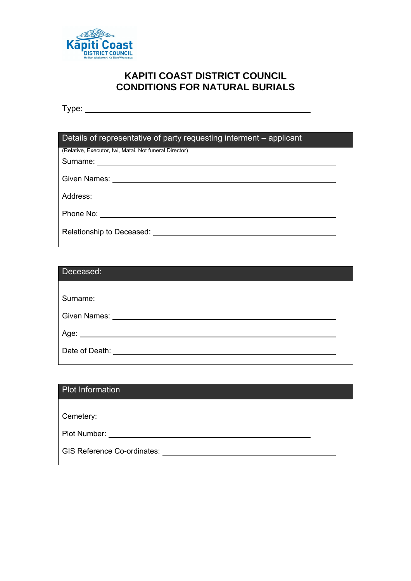

# **KAPITI COAST DISTRICT COUNCIL CONDITIONS FOR NATURAL BURIALS**

Type:

| Details of representative of party requesting interment – applicant |  |  |  |
|---------------------------------------------------------------------|--|--|--|
| (Relative, Executor, Iwi, Matai. Not funeral Director)              |  |  |  |
|                                                                     |  |  |  |
|                                                                     |  |  |  |
|                                                                     |  |  |  |
|                                                                     |  |  |  |
| Relationship to Deceased:                                           |  |  |  |

| Deceased:                                                                                                                                                                                                                      |  |
|--------------------------------------------------------------------------------------------------------------------------------------------------------------------------------------------------------------------------------|--|
|                                                                                                                                                                                                                                |  |
| Surname: <u>____________________</u>                                                                                                                                                                                           |  |
| Given Names: The Contract of the Contract of the Contract of the Contract of the Contract of the Contract of the Contract of the Contract of the Contract of the Contract of the Contract of the Contract of the Contract of t |  |
|                                                                                                                                                                                                                                |  |
| Date of Death:                                                                                                                                                                                                                 |  |

| <b>Plot Information</b>                                                                                                                                                                                                        |  |
|--------------------------------------------------------------------------------------------------------------------------------------------------------------------------------------------------------------------------------|--|
|                                                                                                                                                                                                                                |  |
|                                                                                                                                                                                                                                |  |
| Plot Number: The Contract of the Contract of the Contract of the Contract of the Contract of the Contract of the Contract of the Contract of the Contract of the Contract of the Contract of the Contract of the Contract of t |  |
| <b>GIS Reference Co-ordinates:</b>                                                                                                                                                                                             |  |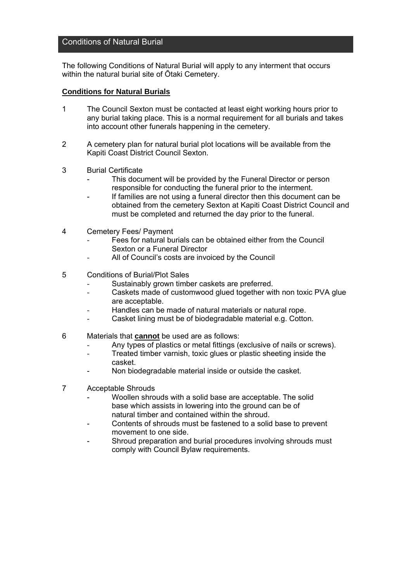### Conditions of Natural Burial

The following Conditions of Natural Burial will apply to any interment that occurs within the natural burial site of Ōtaki Cemetery.

#### **Conditions for Natural Burials**

- 1 The Council Sexton must be contacted at least eight working hours prior to any burial taking place. This is a normal requirement for all burials and takes into account other funerals happening in the cemetery.
- 2 A cemetery plan for natural burial plot locations will be available from the Kapiti Coast District Council Sexton.
- 3 Burial Certificate
	- This document will be provided by the Funeral Director or person responsible for conducting the funeral prior to the interment.
	- If families are not using a funeral director then this document can be obtained from the cemetery Sexton at Kapiti Coast District Council and must be completed and returned the day prior to the funeral.
- 4 Cemetery Fees/ Payment
	- Fees for natural burials can be obtained either from the Council Sexton or a Funeral Director
	- All of Council's costs are invoiced by the Council
- 5 Conditions of Burial/Plot Sales
	- Sustainably grown timber caskets are preferred.
	- Caskets made of customwood glued together with non toxic PVA glue are acceptable.
	- Handles can be made of natural materials or natural rope.
	- Casket lining must be of biodegradable material e.g. Cotton.
- 6 Materials that **cannot** be used are as follows:
	- Any types of plastics or metal fittings (exclusive of nails or screws).
	- Treated timber varnish, toxic glues or plastic sheeting inside the casket.
	- Non biodegradable material inside or outside the casket.
- 7 Acceptable Shrouds
	- Woollen shrouds with a solid base are acceptable. The solid base which assists in lowering into the ground can be of natural timber and contained within the shroud.
	- Contents of shrouds must be fastened to a solid base to prevent movement to one side.
	- Shroud preparation and burial procedures involving shrouds must comply with Council Bylaw requirements.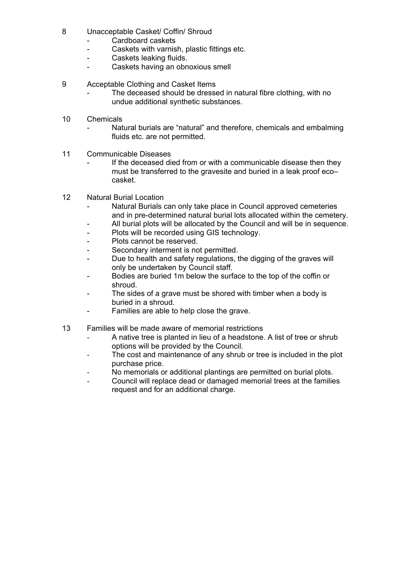- 8 Unacceptable Casket/ Coffin/ Shroud
	- Cardboard caskets
	- Caskets with varnish, plastic fittings etc.
	- Caskets leaking fluids.
	- Caskets having an obnoxious smell
- 9 Acceptable Clothing and Casket Items
	- The deceased should be dressed in natural fibre clothing, with no undue additional synthetic substances.
- 10 Chemicals
	- Natural burials are "natural" and therefore, chemicals and embalming fluids etc. are not permitted.
- 11 Communicable Diseases
	- If the deceased died from or with a communicable disease then they must be transferred to the gravesite and buried in a leak proof eco– casket.
- 12 Natural Burial Location
	- Natural Burials can only take place in Council approved cemeteries and in pre-determined natural burial lots allocated within the cemetery.
	- All burial plots will be allocated by the Council and will be in sequence.
	- Plots will be recorded using GIS technology.
	- Plots cannot be reserved.
	- Secondary interment is not permitted.
	- Due to health and safety regulations, the digging of the graves will only be undertaken by Council staff.
	- Bodies are buried 1m below the surface to the top of the coffin or shroud.
	- The sides of a grave must be shored with timber when a body is buried in a shroud.
	- Families are able to help close the grave.
- 13 Families will be made aware of memorial restrictions
	- A native tree is planted in lieu of a headstone. A list of tree or shrub options will be provided by the Council.
	- The cost and maintenance of any shrub or tree is included in the plot purchase price.
	- No memorials or additional plantings are permitted on burial plots.
	- Council will replace dead or damaged memorial trees at the families request and for an additional charge.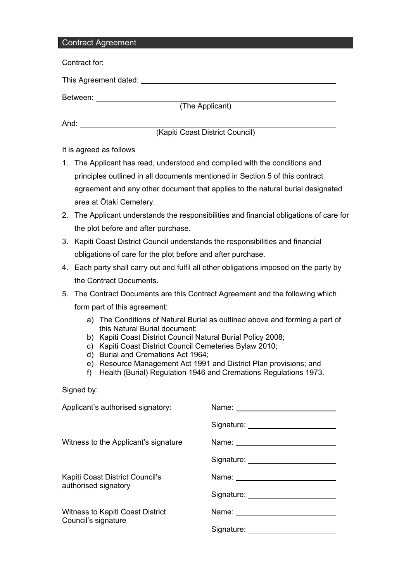# Contract Agreement

| UUITUQUL AYIGGIIIGIIL |                                                                                                                                                                                                                                         |                                                                                                                                                                                                                                      |  |  |
|-----------------------|-----------------------------------------------------------------------------------------------------------------------------------------------------------------------------------------------------------------------------------------|--------------------------------------------------------------------------------------------------------------------------------------------------------------------------------------------------------------------------------------|--|--|
|                       |                                                                                                                                                                                                                                         |                                                                                                                                                                                                                                      |  |  |
|                       |                                                                                                                                                                                                                                         |                                                                                                                                                                                                                                      |  |  |
|                       |                                                                                                                                                                                                                                         |                                                                                                                                                                                                                                      |  |  |
|                       |                                                                                                                                                                                                                                         | (The Applicant)                                                                                                                                                                                                                      |  |  |
|                       |                                                                                                                                                                                                                                         |                                                                                                                                                                                                                                      |  |  |
|                       |                                                                                                                                                                                                                                         | (Kapiti Coast District Council)                                                                                                                                                                                                      |  |  |
|                       | It is agreed as follows                                                                                                                                                                                                                 |                                                                                                                                                                                                                                      |  |  |
|                       | 1. The Applicant has read, understood and complied with the conditions and                                                                                                                                                              |                                                                                                                                                                                                                                      |  |  |
|                       | principles outlined in all documents mentioned in Section 5 of this contract                                                                                                                                                            |                                                                                                                                                                                                                                      |  |  |
|                       |                                                                                                                                                                                                                                         | agreement and any other document that applies to the natural burial designated                                                                                                                                                       |  |  |
|                       | area at Ōtaki Cemetery.                                                                                                                                                                                                                 |                                                                                                                                                                                                                                      |  |  |
|                       |                                                                                                                                                                                                                                         | 2. The Applicant understands the responsibilities and financial obligations of care for                                                                                                                                              |  |  |
|                       | the plot before and after purchase.                                                                                                                                                                                                     |                                                                                                                                                                                                                                      |  |  |
|                       | 3. Kapiti Coast District Council understands the responsibilities and financial                                                                                                                                                         |                                                                                                                                                                                                                                      |  |  |
|                       | obligations of care for the plot before and after purchase.                                                                                                                                                                             |                                                                                                                                                                                                                                      |  |  |
|                       |                                                                                                                                                                                                                                         | 4. Each party shall carry out and fulfil all other obligations imposed on the party by                                                                                                                                               |  |  |
|                       | the Contract Documents.                                                                                                                                                                                                                 |                                                                                                                                                                                                                                      |  |  |
| 5.                    |                                                                                                                                                                                                                                         | The Contract Documents are this Contract Agreement and the following which                                                                                                                                                           |  |  |
|                       | form part of this agreement:                                                                                                                                                                                                            |                                                                                                                                                                                                                                      |  |  |
|                       | a) The Conditions of Natural Burial as outlined above and forming a part of<br>this Natural Burial document;<br>b) Kapiti Coast District Council Natural Burial Policy 2008;<br>c) Kapiti Coast District Council Cemeteries Bylaw 2010; |                                                                                                                                                                                                                                      |  |  |
|                       | d) Burial and Cremations Act 1964;<br>e) Resource Management Act 1991 and District Plan provisions; and<br>Health (Burial) Regulation 1946 and Cremations Regulations 1973.<br>f)                                                       |                                                                                                                                                                                                                                      |  |  |
|                       | Signed by:                                                                                                                                                                                                                              |                                                                                                                                                                                                                                      |  |  |
|                       | Applicant's authorised signatory:                                                                                                                                                                                                       |                                                                                                                                                                                                                                      |  |  |
|                       |                                                                                                                                                                                                                                         |                                                                                                                                                                                                                                      |  |  |
|                       | Witness to the Applicant's signature                                                                                                                                                                                                    |                                                                                                                                                                                                                                      |  |  |
|                       |                                                                                                                                                                                                                                         | Signature: <u>with the set of the set of the set of the set of the set of the set of the set of the set of the set of the set of the set of the set of the set of the set of the set of the set of the set of the set of the set</u> |  |  |
|                       | Kapiti Coast District Council's<br>authorised signatory                                                                                                                                                                                 |                                                                                                                                                                                                                                      |  |  |
|                       |                                                                                                                                                                                                                                         | Signature: _______________________                                                                                                                                                                                                   |  |  |

Signature:

Witness to Kapiti Coast District Name: Name: Name: Council's signature